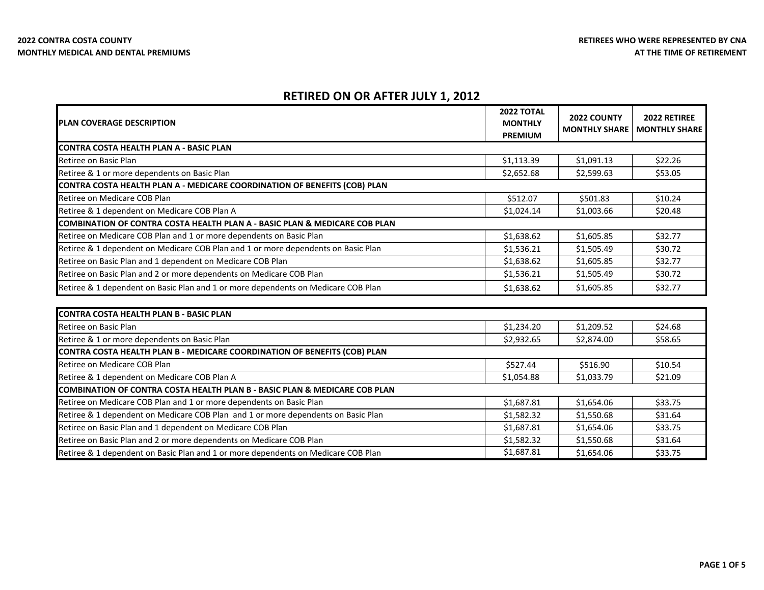Retiree & 1 dependent on Medicare COB Plan and 1 or more dependents on Basic Plan

Retiree & 1 dependent on Basic Plan and 1 or more dependents on Medicare COB Plan

Retiree on Basic Plan and 1 dependent on Medicare COB Plan

Retiree on Basic Plan and 2 or more dependents on Medicare COB Plan

 $$1,582.32$   $$1,550.68$   $$31.64$  $$1,687.81$   $$1,654.06$   $$33.75$  $$1,582.32$   $$1,550.68$   $$31.64$  $$1,687.81$   $$1,654.06$   $$33.75$ 

## **RETIRED ON OR AFTER JULY 1, 2012**

| <b>PLAN COVERAGE DESCRIPTION</b>                                                  | <b>2022 TOTAL</b><br><b>MONTHLY</b><br><b>PREMIUM</b> | 2022 COUNTY<br><b>MONTHLY SHARE</b> | 2022 RETIREE<br><b>MONTHLY SHARE</b> |
|-----------------------------------------------------------------------------------|-------------------------------------------------------|-------------------------------------|--------------------------------------|
| ICONTRA COSTA HEALTH PLAN A - BASIC PLAN                                          |                                                       |                                     |                                      |
| Retiree on Basic Plan                                                             | \$1,113.39                                            | \$1,091.13                          | \$22.26                              |
| Retiree & 1 or more dependents on Basic Plan                                      | \$2,652.68                                            | \$2,599.63                          | \$53.05                              |
| CONTRA COSTA HEALTH PLAN A - MEDICARE COORDINATION OF BENEFITS (COB) PLAN         |                                                       |                                     |                                      |
| Retiree on Medicare COB Plan                                                      | \$512.07                                              | \$501.83                            | \$10.24                              |
| Retiree & 1 dependent on Medicare COB Plan A                                      | \$1,024.14                                            | \$1,003.66                          | \$20.48                              |
| COMBINATION OF CONTRA COSTA HEALTH PLAN A - BASIC PLAN & MEDICARE COB PLAN        |                                                       |                                     |                                      |
| Retiree on Medicare COB Plan and 1 or more dependents on Basic Plan               | \$1,638.62                                            | \$1,605.85                          | \$32.77                              |
| Retiree & 1 dependent on Medicare COB Plan and 1 or more dependents on Basic Plan | \$1,536.21                                            | \$1,505.49                          | \$30.72                              |
| Retiree on Basic Plan and 1 dependent on Medicare COB Plan                        | \$1,638.62                                            | \$1,605.85                          | \$32.77                              |
| Retiree on Basic Plan and 2 or more dependents on Medicare COB Plan               | \$1,536.21                                            | \$1,505.49                          | \$30.72                              |
| Retiree & 1 dependent on Basic Plan and 1 or more dependents on Medicare COB Plan | \$1,638.62                                            | \$1,605.85                          | \$32.77                              |
| CONTRA COSTA HEALTH PLAN B - BASIC PLAN                                           |                                                       |                                     |                                      |
| Retiree on Basic Plan                                                             | \$1,234.20                                            | \$1,209.52                          | \$24.68                              |
| Retiree & 1 or more dependents on Basic Plan                                      | \$2,932.65                                            | \$2,874.00                          | \$58.65                              |
| CONTRA COSTA HEALTH PLAN B - MEDICARE COORDINATION OF BENEFITS (COB) PLAN         |                                                       |                                     |                                      |
| Retiree on Medicare COB Plan                                                      | \$527.44                                              | \$516.90                            | \$10.54                              |
| Retiree & 1 dependent on Medicare COB Plan A                                      | \$1,054.88                                            | \$1,033.79                          | \$21.09                              |
| COMBINATION OF CONTRA COSTA HEALTH PLAN B - BASIC PLAN & MEDICARE COB PLAN        |                                                       |                                     |                                      |
| Retiree on Medicare COB Plan and 1 or more dependents on Basic Plan               | \$1,687.81                                            | \$1,654.06                          | \$33.75                              |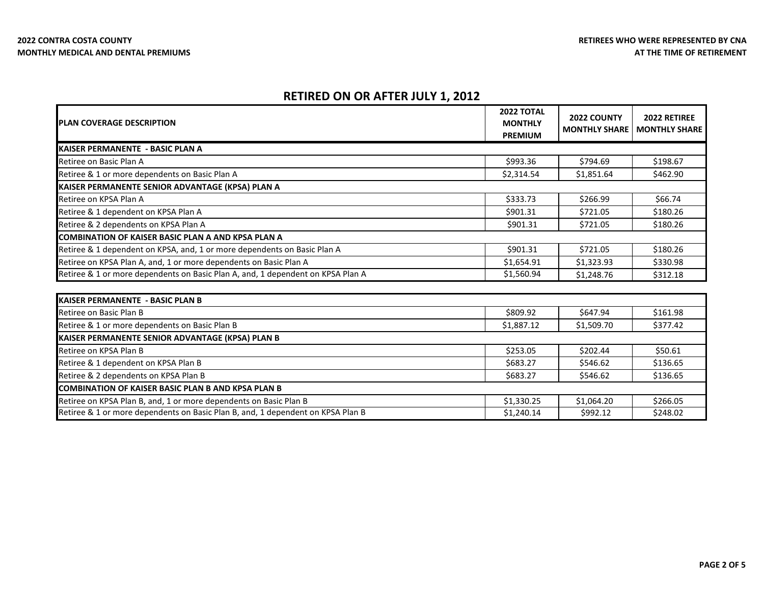# **RETIRED ON OR AFTER JULY 1, 2012**

| <b>PLAN COVERAGE DESCRIPTION</b>                                                | <b>2022 TOTAL</b><br><b>MONTHLY</b><br><b>PREMIUM</b> | 2022 COUNTY<br><b>MONTHLY SHARE</b> | 2022 RETIREE<br><b>MONTHLY SHARE</b> |
|---------------------------------------------------------------------------------|-------------------------------------------------------|-------------------------------------|--------------------------------------|
| KAISER PERMANENTE - BASIC PLAN A                                                |                                                       |                                     |                                      |
| Retiree on Basic Plan A                                                         | \$993.36                                              | \$794.69                            | \$198.67                             |
| Retiree & 1 or more dependents on Basic Plan A                                  | \$2,314.54                                            | \$1,851.64                          | \$462.90                             |
| KAISER PERMANENTE SENIOR ADVANTAGE (KPSA) PLAN A                                |                                                       |                                     |                                      |
| Retiree on KPSA Plan A                                                          | \$333.73                                              | \$266.99                            | \$66.74                              |
| Retiree & 1 dependent on KPSA Plan A                                            | \$901.31                                              | \$721.05                            | \$180.26                             |
| Retiree & 2 dependents on KPSA Plan A                                           | \$901.31                                              | \$721.05                            | \$180.26                             |
| <b>COMBINATION OF KAISER BASIC PLAN A AND KPSA PLAN A</b>                       |                                                       |                                     |                                      |
| Retiree & 1 dependent on KPSA, and, 1 or more dependents on Basic Plan A        | \$901.31                                              | \$721.05                            | \$180.26                             |
| Retiree on KPSA Plan A, and, 1 or more dependents on Basic Plan A               | \$1,654.91                                            | \$1,323.93                          | \$330.98                             |
| Retiree & 1 or more dependents on Basic Plan A, and, 1 dependent on KPSA Plan A | \$1,560.94                                            | \$1,248.76                          | \$312.18                             |
|                                                                                 |                                                       |                                     |                                      |
| <b>KAISER PERMANENTE - BASIC PLAN B</b>                                         |                                                       |                                     |                                      |
| Retiree on Basic Plan B                                                         | \$809.92                                              | \$647.94                            | \$161.98                             |
| Retiree & 1 or more dependents on Basic Plan B                                  | \$1,887.12                                            | \$1,509.70                          | \$377.42                             |
| KAISER PERMANENTE SENIOR ADVANTAGE (KPSA) PLAN B                                |                                                       |                                     |                                      |
| Retiree on KPSA Plan B                                                          | \$253.05                                              | \$202.44                            | \$50.61                              |
| Retiree & 1 dependent on KPSA Plan B                                            | \$683.27                                              | \$546.62                            | \$136.65                             |
| Retiree & 2 dependents on KPSA Plan B                                           | \$683.27                                              | \$546.62                            | \$136.65                             |
| <b>COMBINATION OF KAISER BASIC PLAN B AND KPSA PLAN B</b>                       |                                                       |                                     |                                      |
| Retiree on KPSA Plan B, and, 1 or more dependents on Basic Plan B               | \$1,330.25                                            | \$1,064.20                          | \$266.05                             |
| Retiree & 1 or more dependents on Basic Plan B, and, 1 dependent on KPSA Plan B | \$1,240.14                                            | \$992.12                            | \$248.02                             |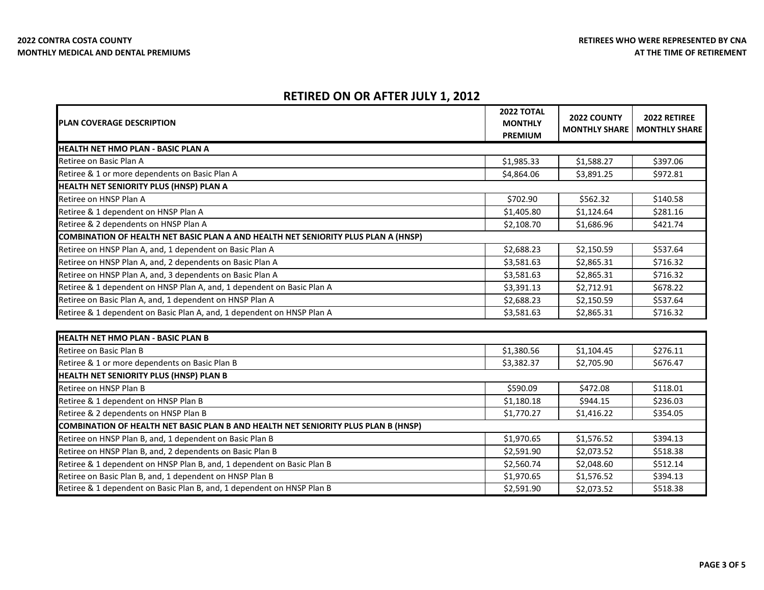Retiree on Basic Plan B, and, 1 dependent on HNSP Plan B

Retiree & 1 dependent on Basic Plan B, and, 1 dependent on HNSP Plan B

## **RETIRED ON OR AFTER JULY 1, 2012**

| <b>PLAN COVERAGE DESCRIPTION</b>                                                          | <b>2022 TOTAL</b><br><b>MONTHLY</b><br><b>PREMIUM</b> | 2022 COUNTY<br><b>MONTHLY SHARE</b> | 2022 RETIREE<br><b>MONTHLY SHARE</b> |
|-------------------------------------------------------------------------------------------|-------------------------------------------------------|-------------------------------------|--------------------------------------|
| <b>HEALTH NET HMO PLAN - BASIC PLAN A</b>                                                 |                                                       |                                     |                                      |
| Retiree on Basic Plan A                                                                   | \$1,985.33                                            | \$1,588.27                          | \$397.06                             |
| Retiree & 1 or more dependents on Basic Plan A                                            | \$4,864.06                                            | \$3,891.25                          | \$972.81                             |
| HEALTH NET SENIORITY PLUS (HNSP) PLAN A                                                   |                                                       |                                     |                                      |
| Retiree on HNSP Plan A                                                                    | \$702.90                                              | \$562.32                            | \$140.58                             |
| Retiree & 1 dependent on HNSP Plan A                                                      | \$1,405.80                                            | \$1,124.64                          | \$281.16                             |
| Retiree & 2 dependents on HNSP Plan A                                                     | \$2,108.70                                            | \$1,686.96                          | \$421.74                             |
| COMBINATION OF HEALTH NET BASIC PLAN A AND HEALTH NET SENIORITY PLUS PLAN A (HNSP)        |                                                       |                                     |                                      |
| Retiree on HNSP Plan A, and, 1 dependent on Basic Plan A                                  | \$2,688.23                                            | \$2,150.59                          | \$537.64                             |
| Retiree on HNSP Plan A, and, 2 dependents on Basic Plan A                                 | \$3,581.63                                            | \$2,865.31                          | \$716.32                             |
| Retiree on HNSP Plan A, and, 3 dependents on Basic Plan A                                 | \$3,581.63                                            | \$2,865.31                          | \$716.32                             |
| Retiree & 1 dependent on HNSP Plan A, and, 1 dependent on Basic Plan A                    | \$3,391.13                                            | \$2,712.91                          | \$678.22                             |
| Retiree on Basic Plan A, and, 1 dependent on HNSP Plan A                                  | \$2,688.23                                            | \$2,150.59                          | \$537.64                             |
| Retiree & 1 dependent on Basic Plan A, and, 1 dependent on HNSP Plan A                    | \$3,581.63                                            | \$2,865.31                          | \$716.32                             |
| <b>HEALTH NET HMO PLAN - BASIC PLAN B</b>                                                 |                                                       |                                     |                                      |
| Retiree on Basic Plan B                                                                   | \$1,380.56                                            | \$1,104.45                          | \$276.11                             |
| Retiree & 1 or more dependents on Basic Plan B                                            | \$3,382.37                                            | \$2,705.90                          | \$676.47                             |
| HEALTH NET SENIORITY PLUS (HNSP) PLAN B                                                   |                                                       |                                     |                                      |
| Retiree on HNSP Plan B                                                                    | \$590.09                                              | \$472.08                            | \$118.01                             |
| Retiree & 1 dependent on HNSP Plan B                                                      | \$1,180.18                                            | \$944.15                            | \$236.03                             |
| Retiree & 2 dependents on HNSP Plan B                                                     | \$1,770.27                                            | \$1,416.22                          | \$354.05                             |
| <b>COMBINATION OF HEALTH NET BASIC PLAN B AND HEALTH NET SENIORITY PLUS PLAN B (HNSP)</b> |                                                       |                                     |                                      |
| Retiree on HNSP Plan B, and, 1 dependent on Basic Plan B                                  | \$1,970.65                                            | \$1,576.52                          | \$394.13                             |
| Retiree on HNSP Plan B, and, 2 dependents on Basic Plan B                                 | \$2,591.90                                            | \$2,073.52                          | \$518.38                             |
| Retiree & 1 dependent on HNSP Plan B, and, 1 dependent on Basic Plan B                    | \$2,560.74                                            | \$2,048.60                          | \$512.14                             |

 $$1,970.65$   $$1,576.52$   $$394.13$  $$2,591.90$   $$2,073.52$   $$518.38$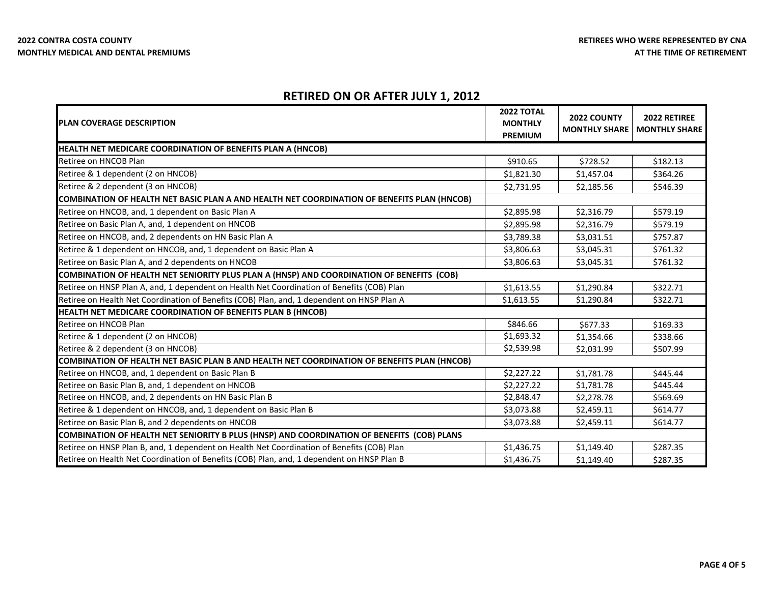# **RETIRED ON OR AFTER JULY 1, 2012**

| <b>IPLAN COVERAGE DESCRIPTION</b>                                                           | <b>2022 TOTAL</b><br><b>MONTHLY</b> | 2022 COUNTY          | 2022 RETIREE         |
|---------------------------------------------------------------------------------------------|-------------------------------------|----------------------|----------------------|
|                                                                                             | <b>PREMIUM</b>                      | <b>MONTHLY SHARE</b> | <b>MONTHLY SHARE</b> |
| <b>HEALTH NET MEDICARE COORDINATION OF BENEFITS PLAN A (HNCOB)</b>                          |                                     |                      |                      |
| Retiree on HNCOB Plan                                                                       | \$910.65                            | \$728.52             | \$182.13             |
| Retiree & 1 dependent (2 on HNCOB)                                                          | \$1,821.30                          | \$1,457.04           | \$364.26             |
| Retiree & 2 dependent (3 on HNCOB)                                                          | \$2,731.95                          | \$2,185.56           | \$546.39             |
| COMBINATION OF HEALTH NET BASIC PLAN A AND HEALTH NET COORDINATION OF BENEFITS PLAN (HNCOB) |                                     |                      |                      |
| Retiree on HNCOB, and, 1 dependent on Basic Plan A                                          | \$2,895.98                          | \$2,316.79           | \$579.19             |
| Retiree on Basic Plan A, and, 1 dependent on HNCOB                                          | \$2,895.98                          | \$2,316.79           | \$579.19             |
| Retiree on HNCOB, and, 2 dependents on HN Basic Plan A                                      | \$3,789.38                          | \$3,031.51           | \$757.87             |
| Retiree & 1 dependent on HNCOB, and, 1 dependent on Basic Plan A                            | \$3,806.63                          | \$3,045.31           | \$761.32             |
| Retiree on Basic Plan A, and 2 dependents on HNCOB                                          | \$3,806.63                          | \$3,045.31           | \$761.32             |
| COMBINATION OF HEALTH NET SENIORITY PLUS PLAN A (HNSP) AND COORDINATION OF BENEFITS (COB)   |                                     |                      |                      |
| Retiree on HNSP Plan A, and, 1 dependent on Health Net Coordination of Benefits (COB) Plan  | \$1,613.55                          | \$1,290.84           | \$322.71             |
| Retiree on Health Net Coordination of Benefits (COB) Plan, and, 1 dependent on HNSP Plan A  | \$1,613.55                          | \$1,290.84           | \$322.71             |
| HEALTH NET MEDICARE COORDINATION OF BENEFITS PLAN B (HNCOB)                                 |                                     |                      |                      |
| Retiree on HNCOB Plan                                                                       | \$846.66                            | \$677.33             | \$169.33             |
| Retiree & 1 dependent (2 on HNCOB)                                                          | \$1,693.32                          | \$1,354.66           | \$338.66             |
| Retiree & 2 dependent (3 on HNCOB)                                                          | \$2,539.98                          | \$2,031.99           | \$507.99             |
| COMBINATION OF HEALTH NET BASIC PLAN B AND HEALTH NET COORDINATION OF BENEFITS PLAN (HNCOB) |                                     |                      |                      |
| Retiree on HNCOB, and, 1 dependent on Basic Plan B                                          | \$2,227.22                          | \$1,781.78           | \$445.44             |
| Retiree on Basic Plan B, and, 1 dependent on HNCOB                                          | \$2,227.22                          | \$1,781.78           | \$445.44             |
| Retiree on HNCOB, and, 2 dependents on HN Basic Plan B                                      | \$2,848.47                          | \$2,278.78           | \$569.69             |
| Retiree & 1 dependent on HNCOB, and, 1 dependent on Basic Plan B                            | \$3,073.88                          | \$2,459.11           | \$614.77             |
| Retiree on Basic Plan B, and 2 dependents on HNCOB                                          | \$3,073.88                          | \$2,459.11           | \$614.77             |
| COMBINATION OF HEALTH NET SENIORITY B PLUS (HNSP) AND COORDINATION OF BENEFITS (COB) PLANS  |                                     |                      |                      |
| Retiree on HNSP Plan B, and, 1 dependent on Health Net Coordination of Benefits (COB) Plan  | \$1,436.75                          | \$1,149.40           | \$287.35             |
| Retiree on Health Net Coordination of Benefits (COB) Plan, and, 1 dependent on HNSP Plan B  | \$1,436.75                          | \$1,149.40           | \$287.35             |